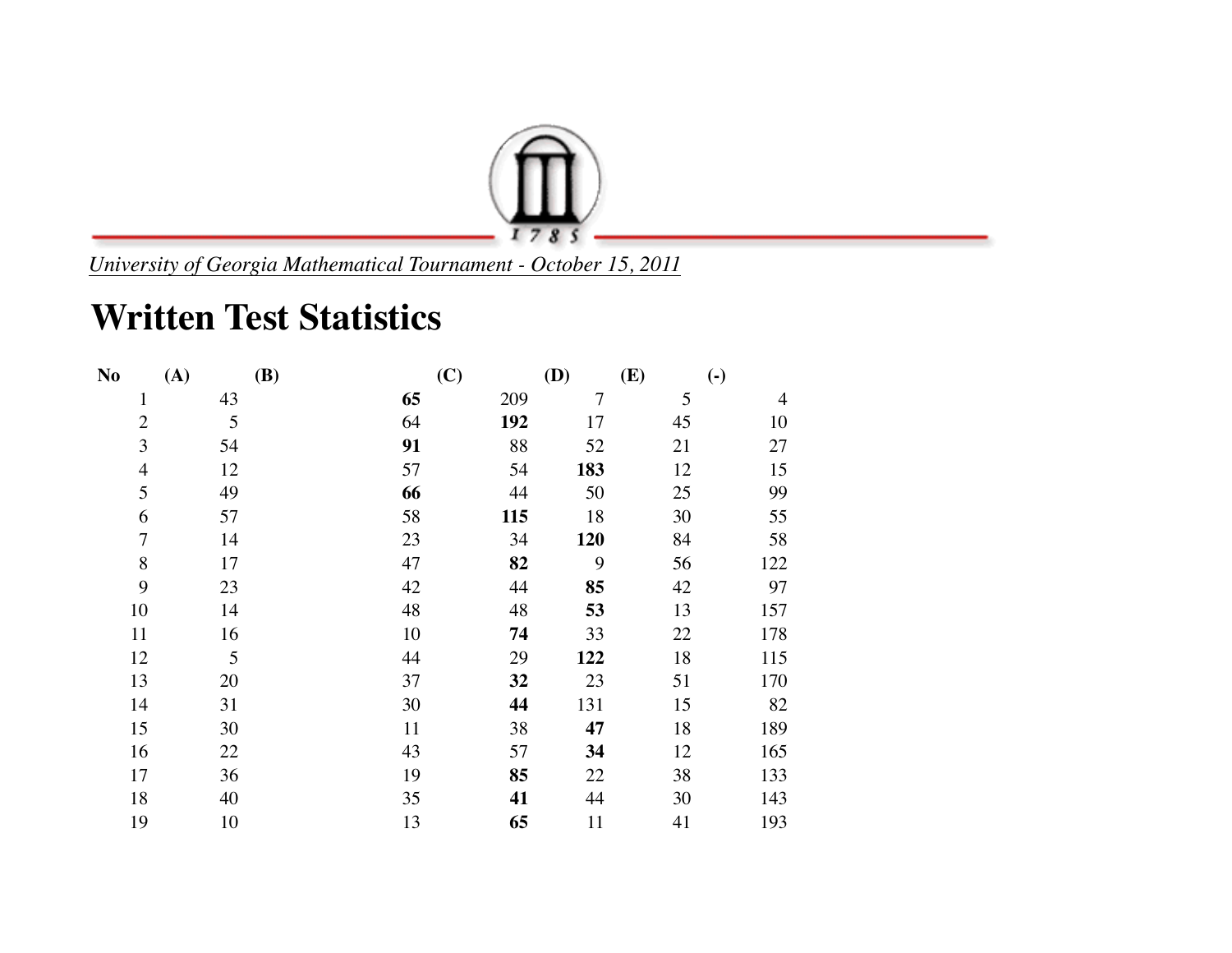

*University of Georgia Mathematical Tournament - October 15, 2011*

## **Written Test Statistics**

| N <sub>o</sub> | (A) | <b>(B)</b> | (C) | (D) | (E) | $\left( \text{-} \right)$ |
|----------------|-----|------------|-----|-----|-----|---------------------------|
| $\mathbf{1}$   | 43  | 65         | 209 | 7   | 5   | 4                         |
| $\overline{2}$ | 5   | 64         | 192 | 17  | 45  | 10                        |
| 3              | 54  | 91         | 88  | 52  | 21  | 27                        |
| $\overline{4}$ | 12  | 57         | 54  | 183 | 12  | 15                        |
| 5              | 49  | 66         | 44  | 50  | 25  | 99                        |
| 6              | 57  | 58         | 115 | 18  | 30  | 55                        |
| $\overline{7}$ | 14  | 23         | 34  | 120 | 84  | 58                        |
| 8              | 17  | 47         | 82  | 9   | 56  | 122                       |
| 9              | 23  | 42         | 44  | 85  | 42  | 97                        |
| 10             | 14  | 48         | 48  | 53  | 13  | 157                       |
| 11             | 16  | 10         | 74  | 33  | 22  | 178                       |
| 12             | 5   | 44         | 29  | 122 | 18  | 115                       |
| 13             | 20  | 37         | 32  | 23  | 51  | 170                       |
| 14             | 31  | 30         | 44  | 131 | 15  | 82                        |
| 15             | 30  | 11         | 38  | 47  | 18  | 189                       |
| 16             | 22  | 43         | 57  | 34  | 12  | 165                       |
| 17             | 36  | 19         | 85  | 22  | 38  | 133                       |
| 18             | 40  | 35         | 41  | 44  | 30  | 143                       |
| 19             | 10  | 13         | 65  | 11  | 41  | 193                       |